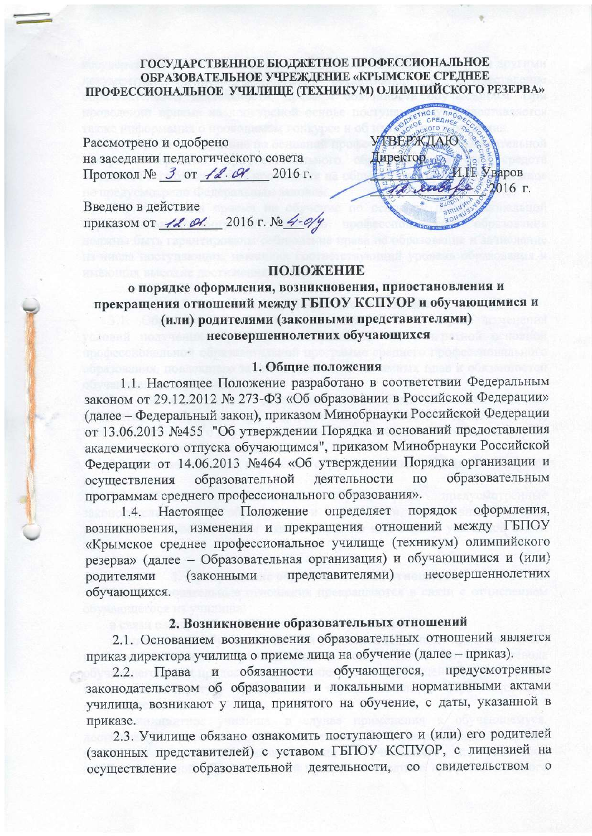ГОСУДАРСТВЕННОЕ БЮДЖЕТНОЕ ПРОФЕССИОНАЛЬНОЕ ОБРАЗОВАТЕЛЬНОЕ УЧРЕЖДЕНИЕ «КРЫМСКОЕ СРЕДНЕЕ ПРОФЕССИОНАЛЬНОЕ УЧИЛИЩЕ (ТЕХНИКУМ) ОЛИМПИЙСКОГО РЕЗЕРВА»

Рассмотрено и одобрено на заселании педагогического совета Протокол № 3 от 12. СУ. 2016 г.

Введено в действие приказом от 42. 04. 2016 г. № 4-0/у



#### **ПОЛОЖЕНИЕ**

## о порядке оформления, возникновения, приостановления и прекращения отношений между ГБПОУ КСПУОР и обучающимися и (или) родителями (законными представителями) несовершеннолетних обучающихся

#### 1. Общие положения

1.1. Настоящее Положение разработано в соответствии Федеральным законом от 29.12.2012 № 273-ФЗ «Об образовании в Российской Федерации» (далее - Федеральный закон), приказом Минобрнауки Российской Федерации от 13.06.2013 №455 "Об утверждении Порядка и оснований предоставления академического отпуска обучающимся", приказом Минобрнауки Российской Федерации от 14.06.2013 №464 «Об утверждении Порядка организации и образовательным образовательной деятельности  $\Pi$ <sup>O</sup> осуществления программам среднего профессионального образования».

1.4. Настоящее Положение определяет порядок оформления, возникновения, изменения и прекращения отношений между ГБПОУ «Крымское среднее профессиональное училище (техникум) олимпийского резерва» (далее - Образовательная организация) и обучающимися и (или) (законными представителями) несовершеннолетних родителями обучающихся.

### 2. Возникновение образовательных отношений

2.1. Основанием возникновения образовательных отношений является приказ директора училища о приеме лица на обучение (далее - приказ).

обучающегося, предусмотренные Права обязанности  $2.2.$ И законодательством об образовании и локальными нормативными актами училища, возникают у лица, принятого на обучение, с даты, указанной в приказе.

2.3. Училище обязано ознакомить поступающего и (или) его родителей (законных представителей) с уставом ГБПОУ КСПУОР, с лицензией на осуществление образовательной деятельности, со свидетельством  $\circ$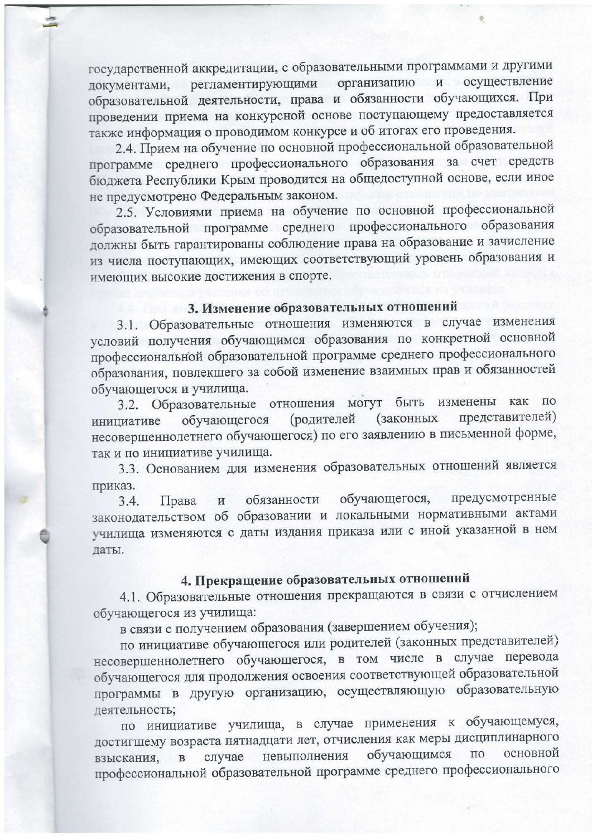государственной аккредитации, с образовательными программами и другими организацию и осуществление регламентирующими документами, образовательной деятельности, права и обязанности обучающихся. При проведении приема на конкурсной основе поступающему предоставляется также информация о проводимом конкурсе и об итогах его проведения.

2.4. Прием на обучение по основной профессиональной образовательной программе среднего профессионального образования за счет средств бюджета Республики Крым проводится на общедоступной основе, если иное не предусмотрено Федеральным законом.

2.5. Условиями приема на обучение по основной профессиональной образовательной программе среднего профессионального образования должны быть гарантированы соблюдение права на образование и зачисление из числа поступающих, имеющих соответствующий уровень образования и имеющих высокие достижения в спорте.

## 3. Изменение образовательных отношений

3.1. Образовательные отношения изменяются в случае изменения условий получения обучающимся образования по конкретной основной профессиональной образовательной программе среднего профессионального образования, повлекшего за собой изменение взаимных прав и обязанностей обучающегося и училища.

3.2. Образовательные отношения могут быть изменены как по представителей) (законных (родителей обучающегося инициативе несовершеннолетнего обучающегося) по его заявлению в письменной форме, так и по инициативе училища.

3.3. Основанием для изменения образовательных отношений является приказ.

предусмотренные обучающегося, обязанности  $3.4.$ Права  $\,$  M законодательством об образовании и локальными нормативными актами училища изменяются с даты издания приказа или с иной указанной в нем даты.

# 4. Прекращение образовательных отношений

4.1. Образовательные отношения прекращаются в связи с отчислением обучающегося из училища:

в связи с получением образования (завершением обучения);

по инициативе обучающегося или родителей (законных представителей) несовершеннолетнего обучающегося, в том числе в случае перевода обучающегося для продолжения освоения соответствующей образовательной программы в другую организацию, осуществляющую образовательную деятельность;

по инициативе училища, в случае применения к обучающемуся, достигшему возраста пятнадцати лет, отчисления как меры дисциплинарного обучающимся основной ПО невыполнения случае  $\overline{B}$ взыскания, профессиональной образовательной программе среднего профессионального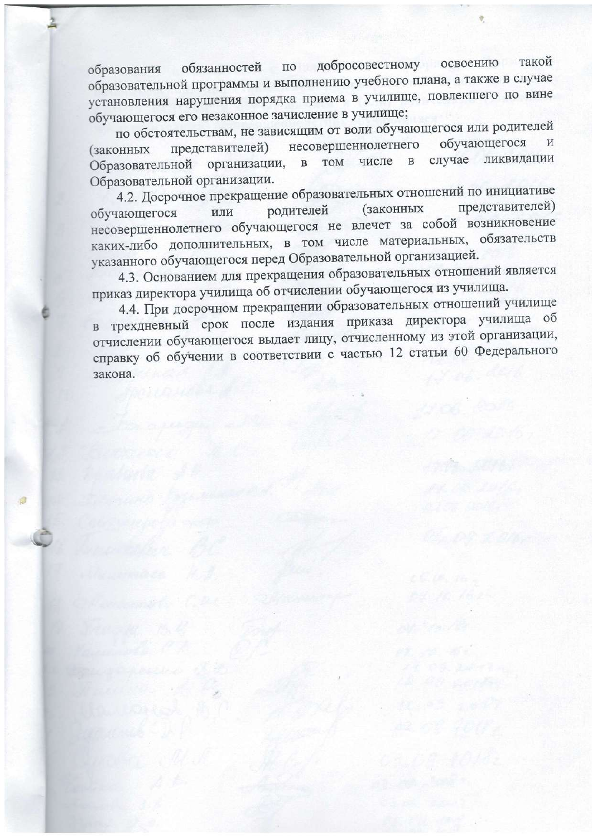обязанностей по добросовестному освоению такой образования образовательной программы и выполнению учебного плана, а также в случае установления нарушения порядка приема в училище, повлекшего по вине обучающегося его незаконное зачисление в училище;

по обстоятельствам, не зависящим от воли обучающегося или родителей несовершеннолетнего обучающегося представителей) (законных случае ликвидации Образовательной организации, числе  $\overline{B}$ **TOM**  $\overline{B}$ Образовательной организации.

4.2. Досрочное прекращение образовательных отношений по инициативе представителей) (законных родителей обучающегося или несовершеннолетнего обучающегося не влечет за собой возникновение каких-либо дополнительных, в том числе материальных, обязательств указанного обучающегося перед Образовательной организацией.

4.3. Основанием для прекращения образовательных отношений является приказ директора училища об отчислении обучающегося из училища.

4.4. При досрочном прекращении образовательных отношений училище в трехдневный срок после издания приказа директора училища об отчислении обучающегося выдает лицу, отчисленному из этой организации, справку об обучении в соответствии с частью 12 статьи 60 Федерального закона.